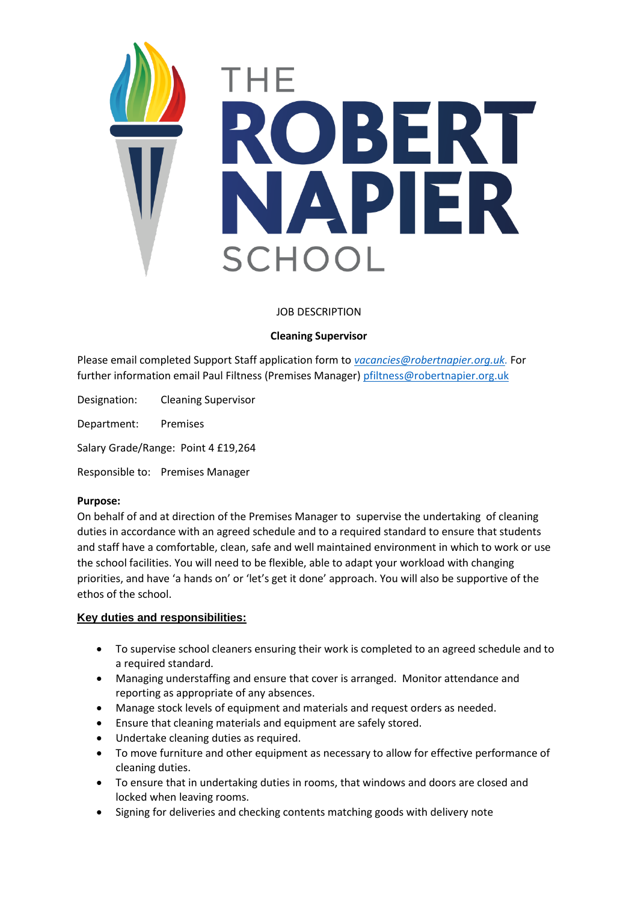

# JOB DESCRIPTION

## **Cleaning Supervisor**

Please email completed Support Staff application form to *[vacancies@robertnapier.org.uk.](mailto:vacancies@robertnapier.org.uk)* For further information email Paul Filtness (Premises Manager) [pfiltness@robertnapier.org.uk](mailto:pfiltness@robertnapier.org.uk)

Designation: Cleaning Supervisor

Department: Premises

Salary Grade/Range: Point 4 £19,264

Responsible to: Premises Manager

#### **Purpose:**

On behalf of and at direction of the Premises Manager to supervise the undertaking of cleaning duties in accordance with an agreed schedule and to a required standard to ensure that students and staff have a comfortable, clean, safe and well maintained environment in which to work or use the school facilities. You will need to be flexible, able to adapt your workload with changing priorities, and have 'a hands on' or 'let's get it done' approach. You will also be supportive of the ethos of the school.

#### **Key duties and responsibilities:**

- To supervise school cleaners ensuring their work is completed to an agreed schedule and to a required standard.
- Managing understaffing and ensure that cover is arranged. Monitor attendance and reporting as appropriate of any absences.
- Manage stock levels of equipment and materials and request orders as needed.
- Ensure that cleaning materials and equipment are safely stored.
- Undertake cleaning duties as required.
- To move furniture and other equipment as necessary to allow for effective performance of cleaning duties.
- To ensure that in undertaking duties in rooms, that windows and doors are closed and locked when leaving rooms.
- Signing for deliveries and checking contents matching goods with delivery note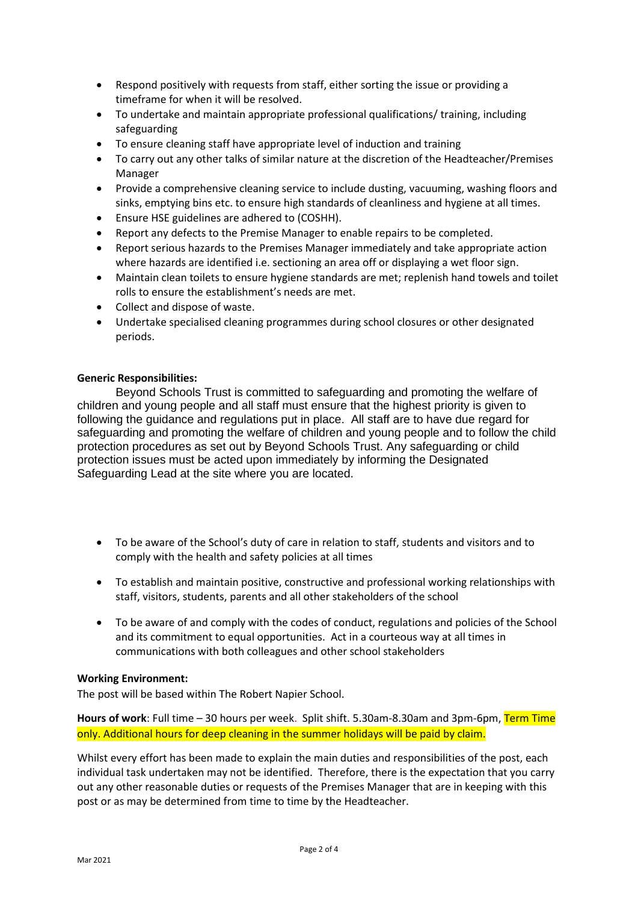- Respond positively with requests from staff, either sorting the issue or providing a timeframe for when it will be resolved.
- To undertake and maintain appropriate professional qualifications/ training, including safeguarding
- To ensure cleaning staff have appropriate level of induction and training
- To carry out any other talks of similar nature at the discretion of the Headteacher/Premises Manager
- Provide a comprehensive cleaning service to include dusting, vacuuming, washing floors and sinks, emptying bins etc. to ensure high standards of cleanliness and hygiene at all times.
- Ensure HSE guidelines are adhered to (COSHH).
- Report any defects to the Premise Manager to enable repairs to be completed.
- Report serious hazards to the Premises Manager immediately and take appropriate action where hazards are identified i.e. sectioning an area off or displaying a wet floor sign.
- Maintain clean toilets to ensure hygiene standards are met; replenish hand towels and toilet rolls to ensure the establishment's needs are met.
- Collect and dispose of waste.
- Undertake specialised cleaning programmes during school closures or other designated periods.

#### **Generic Responsibilities:**

Beyond Schools Trust is committed to safeguarding and promoting the welfare of children and young people and all staff must ensure that the highest priority is given to following the guidance and regulations put in place. All staff are to have due regard for safeguarding and promoting the welfare of children and young people and to follow the child protection procedures as set out by Beyond Schools Trust. Any safeguarding or child protection issues must be acted upon immediately by informing the Designated Safeguarding Lead at the site where you are located.

- To be aware of the School's duty of care in relation to staff, students and visitors and to comply with the health and safety policies at all times
- To establish and maintain positive, constructive and professional working relationships with staff, visitors, students, parents and all other stakeholders of the school
- To be aware of and comply with the codes of conduct, regulations and policies of the School and its commitment to equal opportunities. Act in a courteous way at all times in communications with both colleagues and other school stakeholders

#### **Working Environment:**

The post will be based within The Robert Napier School.

**Hours of work**: Full time – 30 hours per week. Split shift. 5.30am-8.30am and 3pm-6pm, Term Time only. Additional hours for deep cleaning in the summer holidays will be paid by claim.

Whilst every effort has been made to explain the main duties and responsibilities of the post, each individual task undertaken may not be identified. Therefore, there is the expectation that you carry out any other reasonable duties or requests of the Premises Manager that are in keeping with this post or as may be determined from time to time by the Headteacher.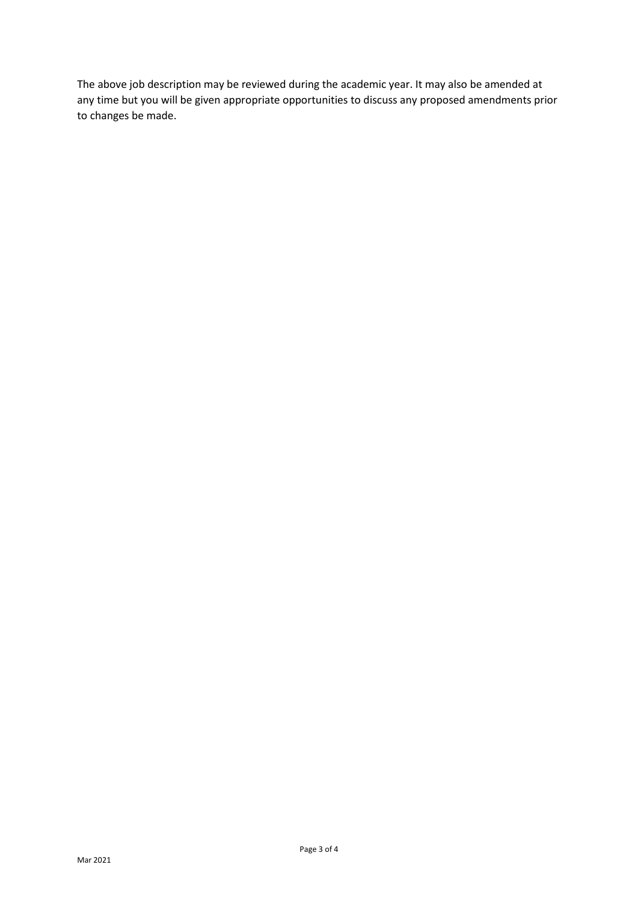The above job description may be reviewed during the academic year. It may also be amended at any time but you will be given appropriate opportunities to discuss any proposed amendments prior to changes be made.